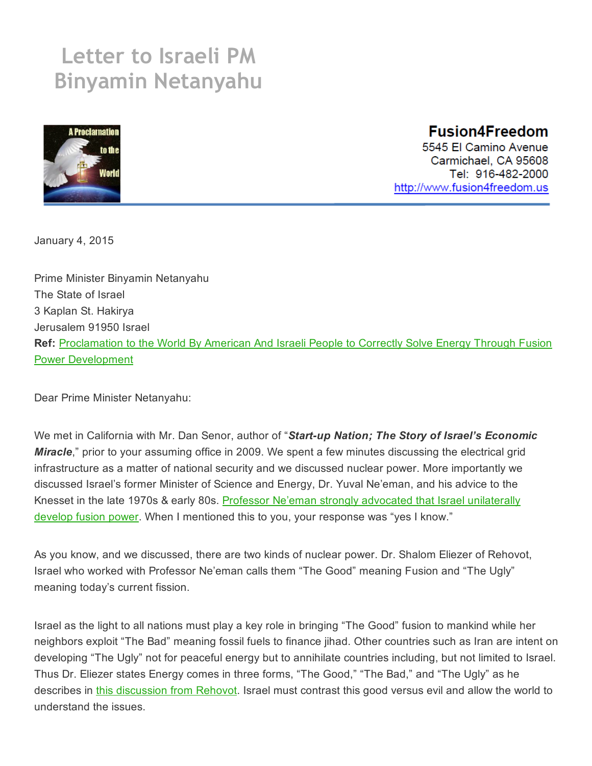## Letter to Israeli PM Binyamin Netanyahu



## **Fusion4Freedom**

5545 El Camino Avenue Carmichael, CA 95608 Tel: 916-482-2000 http://www.fusion4freedom.us

January 4, 2015

Prime Minister Binyamin Netanyahu The State of Israel 3 Kaplan St. Hakirya Jerusalem 91950 Israel Ref: Proclamation to the World By American And Israeli People to Correctly Solve Energy Through Fusion Power [Development](http://fusion4freedom.us/a-proclamation-to-the-world/)

Dear Prime Minister Netanyahu:

We met in California with Mr. Dan Senor, author of "Start-up Nation; The Story of Israel's Economic *Miracle*," prior to your assuming office in 2009. We spent a few minutes discussing the electrical grid infrastructure as a matter of national security and we discussed nuclear power. More importantly we discussed Israel's former Minister of Science and Energy, Dr. Yuval Ne'eman, and his advice to the Knesset in the late 1970s & early 80s. Professor Ne'eman strongly advocated that Israel [unilaterally](http://fusion4freedom.us/vidstor/ys4.mp4) develop fusion power. When I mentioned this to you, your response was "yes I know."

As you know, and we discussed, there are two kinds of nuclear power. Dr. Shalom Eliezer of Rehovot, Israel who worked with Professor Ne'eman calls them "The Good" meaning Fusion and "The Ugly" meaning today's current fission.

Israel as the light to all nations must play a key role in bringing "The Good" fusion to mankind while her neighbors exploit "The Bad" meaning fossil fuels to finance jihad. Other countries such as Iran are intent on developing "The Ugly" not for peaceful energy but to annihilate countries including, but not limited to Israel. Thus Dr. Eliezer states Energy comes in three forms, "The Good," "The Bad," and "The Ugly" as he describes in this [discussion](http://fusion4freedom.us/physicist-discusses-fusion/#2) from Rehovot. Israel must contrast this good versus evil and allow the world to understand the issues.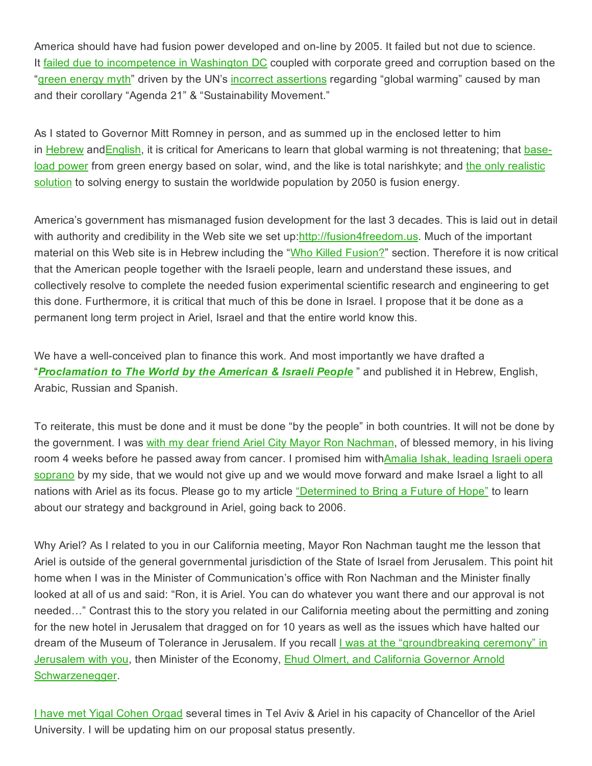America should have had fusion power developed and on-line by 2005. It failed but not due to science. It failed due to [incompetence](http://fusion4freedom.us/who-killed-fusion/) in Washington DC coupled with corporate greed and corruption based on the "green [energy](http://fusion4freedom.us/review-of-forbes-on-line-magazine-article-solar-energy-revolution-a-massive-opportunity/) myth" driven by the UN's incorrect [assertions](http://fusion4freedom.us/the-climate-con-goes-on/) regarding "global warming" caused by man and their corollary "Agenda 21" & "Sustainability Movement."

As I stated to Governor Mitt Romney in person, and as summed up in the enclosed letter to him in [Hebrew](http://fusion4freedom.us/wp-content/uploads/2013/12/Mitt-Romney-TT-Hebrew-LTRH-07-12-2012-Rev-3.0-Final1.pdf) and [English,](http://fusion4freedom.us/letter-to-mitt-romney/) it is critical for Americans to learn that global warming is not threatening; that [base](http://fusion4freedom.us/review-of-forbes-on-line-magazine-article-solar-energy-revolution-a-massive-opportunity/)load [power](http://fusion4freedom.us/review-of-forbes-on-line-magazine-article-solar-energy-revolution-a-massive-opportunity/) from green energy based on solar, wind, and the like is total narishkyte; and the only [realistic](http://fusion4freedom.us/category/issues/fusion-solution/) [solution](http://fusion4freedom.us/category/issues/fusion-solution/) to solving energy to sustain the worldwide population by 2050 is fusion energy.

America's government has mismanaged fusion development for the last 3 decades. This is laid out in detail with authority and credibility in the Web site we set up[:http://fusion4freedom.us.](http://fusion4freedom.us/) Much of the important material on this Web site is in Hebrew including the "Who Killed [Fusion?](http://fusion4freedom.us/who-killed-fusion/)" section. Therefore it is now critical that the American people together with the Israeli people, learn and understand these issues, and collectively resolve to complete the needed fusion experimental scientific research and engineering to get this done. Furthermore, it is critical that much of this be done in Israel. I propose that it be done as a permanent long term project in Ariel, Israel and that the entire world know this.

We have a well-conceived plan to finance this work. And most importantly we have drafted a "*[Proclamation](http://fusion4freedom.us/a-proclamation-to-the-world/) to The World by the American & Israeli People* " and published it in Hebrew, English, Arabic, Russian and Spanish.

To reiterate, this must be done and it must be done "by the people" in both countries. It will not be done by the government. I was with my dear friend Ariel City Mayor Ron [Nachman,](http://fusion4freedom.us/determined-to-bring-a-future-of-hope/#photos) of blessed memory, in his living room 4 weeks before he passed away from cancer. I promised him [withAmalia](http://fusion4freedom.us/vidstor/anthem2.mp4) Ishak, leading Israeli opera soprano by my side, that we would not give up and we would move forward and make Israel a light to all nations with Ariel as its focus. Please go to my article ["Determined](http://fusion4freedom.us/determined-to-bring-a-future-of-hope/) to Bring a Future of Hope" to learn about our strategy and background in Ariel, going back to 2006.

Why Ariel? As I related to you in our California meeting, Mayor Ron Nachman taught me the lesson that Ariel is outside of the general governmental jurisdiction of the State of Israel from Jerusalem. This point hit home when I was in the Minister of Communication's office with Ron Nachman and the Minister finally looked at all of us and said: "Ron, it is Ariel. You can do whatever you want there and our approval is not needed…" Contrast this to the story you related in our California meeting about the permitting and zoning for the new hotel in Jerusalem that dragged on for 10 years as well as the issues which have halted our dream of the Museum of Tolerance in Jerusalem. If you recall *I was at the ["groundbreaking](http://fusion4freedom.us/tamarkin/autographed.jpg) ceremony"* in Jerusalem with you, then Minister of the Economy, **Ehud Olmert, and California Governor Arnold** [Schwarzenegger.](http://fusion4freedom.us/tamarkin/schwartzenegger-tamarkin.jpg)

I have met Yigal [Cohen](http://fusion4freedom.us/vidstor/ariel.mp4) Orgad several times in Tel Aviv & Ariel in his capacity of Chancellor of the Ariel University. I will be updating him on our proposal status presently.